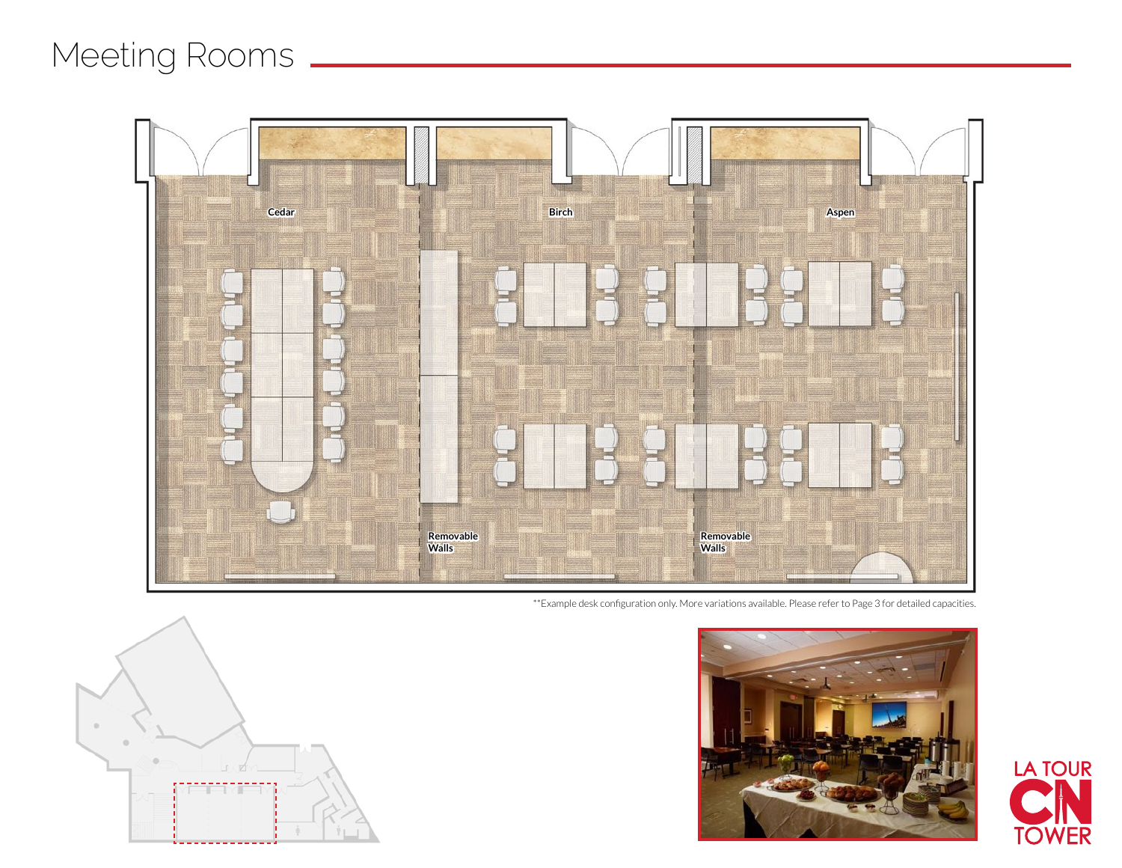## Meeting Rooms \_\_



\*\*Example desk configuration only. More variations available. Please refer to Page 3 for detailed capacities.